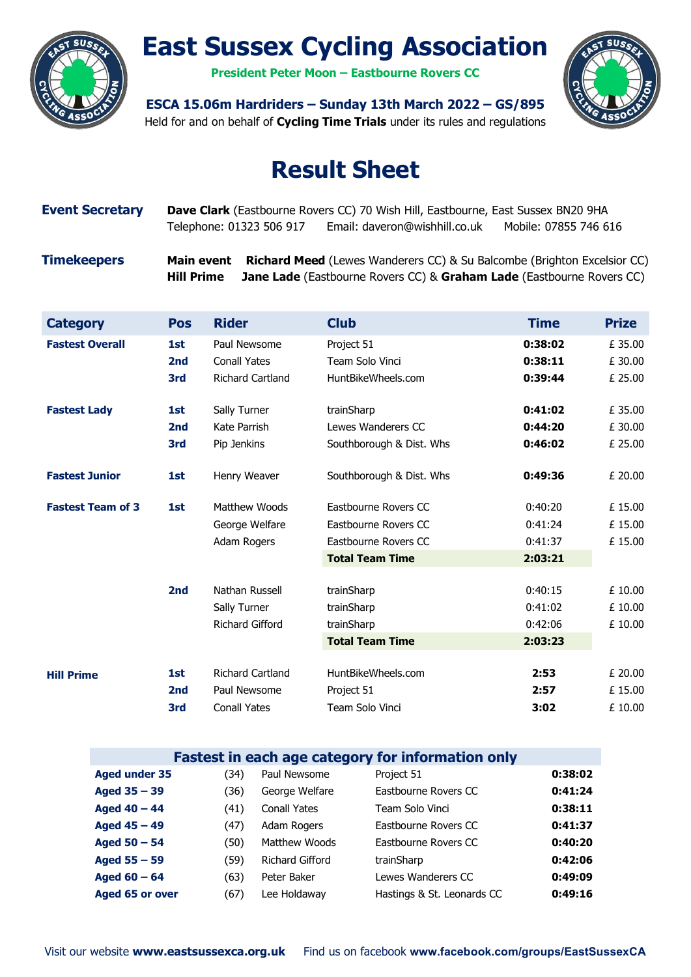

# East Sussex Cycling Association

President Peter Moon – Eastbourne Rovers CC



ESCA 15.06m Hardriders – Sunday 13th March 2022 – GS/895

### Held for and on behalf of Cycling Time Trials under its rules and regulations

## Result Sheet

## Event Secretary Dave Clark (Eastbourne Rovers CC) 70 Wish Hill, Eastbourne, East Sussex BN20 9HA Telephone: 01323 506 917 Email: daveron@wishhill.co.uk Mobile: 07855 746 616

Timekeepers Main event Richard Meed (Lewes Wanderers CC) & Su Balcombe (Brighton Excelsior CC) Hill Prime Jane Lade (Eastbourne Rovers CC) & Graham Lade (Eastbourne Rovers CC)

| <b>Category</b>          | <b>Pos</b>      | <b>Rider</b>        | <b>Club</b>              | <b>Time</b> | <b>Prize</b> |
|--------------------------|-----------------|---------------------|--------------------------|-------------|--------------|
| <b>Fastest Overall</b>   | 1st             | Paul Newsome        | Project 51               | 0:38:02     | £ 35.00      |
|                          | 2 <sub>nd</sub> | <b>Conall Yates</b> | Team Solo Vinci          | 0:38:11     | £30.00       |
|                          | 3rd             | Richard Cartland    | HuntBikeWheels.com       | 0:39:44     | £ 25.00      |
| <b>Fastest Lady</b>      | 1st             | Sally Turner        | trainSharp               | 0:41:02     | £ 35.00      |
|                          | 2 <sub>nd</sub> | Kate Parrish        | Lewes Wanderers CC       | 0:44:20     | £ 30.00      |
|                          | 3rd             | Pip Jenkins         | Southborough & Dist. Whs | 0:46:02     | £ 25.00      |
| <b>Fastest Junior</b>    | 1st             | Henry Weaver        | Southborough & Dist. Whs | 0:49:36     | £ 20.00      |
| <b>Fastest Team of 3</b> | 1st             | Matthew Woods       | Eastbourne Rovers CC     | 0:40:20     | £15.00       |
|                          |                 | George Welfare      | Eastbourne Rovers CC     | 0:41:24     | £15.00       |
|                          |                 | Adam Rogers         | Eastbourne Rovers CC     | 0:41:37     | £ 15.00      |
|                          |                 |                     | <b>Total Team Time</b>   | 2:03:21     |              |
|                          | 2 <sub>nd</sub> | Nathan Russell      | trainSharp               | 0:40:15     | £ 10.00      |
|                          |                 | Sally Turner        | trainSharp               | 0:41:02     | £ 10.00      |
|                          |                 | Richard Gifford     | trainSharp               | 0:42:06     | £ 10.00      |
|                          |                 |                     | <b>Total Team Time</b>   | 2:03:23     |              |
| <b>Hill Prime</b>        | 1st             | Richard Cartland    | HuntBikeWheels.com       | 2:53        | £ 20.00      |
|                          | 2 <sub>nd</sub> | Paul Newsome        | Project 51               | 2:57        | £ 15.00      |
|                          | 3rd             | <b>Conall Yates</b> | Team Solo Vinci          | 3:02        | £ 10.00      |

| <b>Fastest in each age category for information only</b> |      |                        |                            |         |  |
|----------------------------------------------------------|------|------------------------|----------------------------|---------|--|
| <b>Aged under 35</b>                                     | (34) | Paul Newsome           | Project 51                 | 0:38:02 |  |
| Aged $35 - 39$                                           | (36) | George Welfare         | Eastbourne Rovers CC       | 0:41:24 |  |
| Aged $40 - 44$                                           | (41) | <b>Conall Yates</b>    | Team Solo Vinci            | 0:38:11 |  |
| Aged $45 - 49$                                           | (47) | Adam Rogers            | Eastbourne Rovers CC       | 0:41:37 |  |
| Aged $50 - 54$                                           | (50) | Matthew Woods          | Eastbourne Rovers CC       | 0:40:20 |  |
| Aged $55 - 59$                                           | (59) | <b>Richard Gifford</b> | trainSharp                 | 0:42:06 |  |
| Aged $60 - 64$                                           | (63) | Peter Baker            | Lewes Wanderers CC         | 0:49:09 |  |
| Aged 65 or over                                          | (67) | Lee Holdaway           | Hastings & St. Leonards CC | 0:49:16 |  |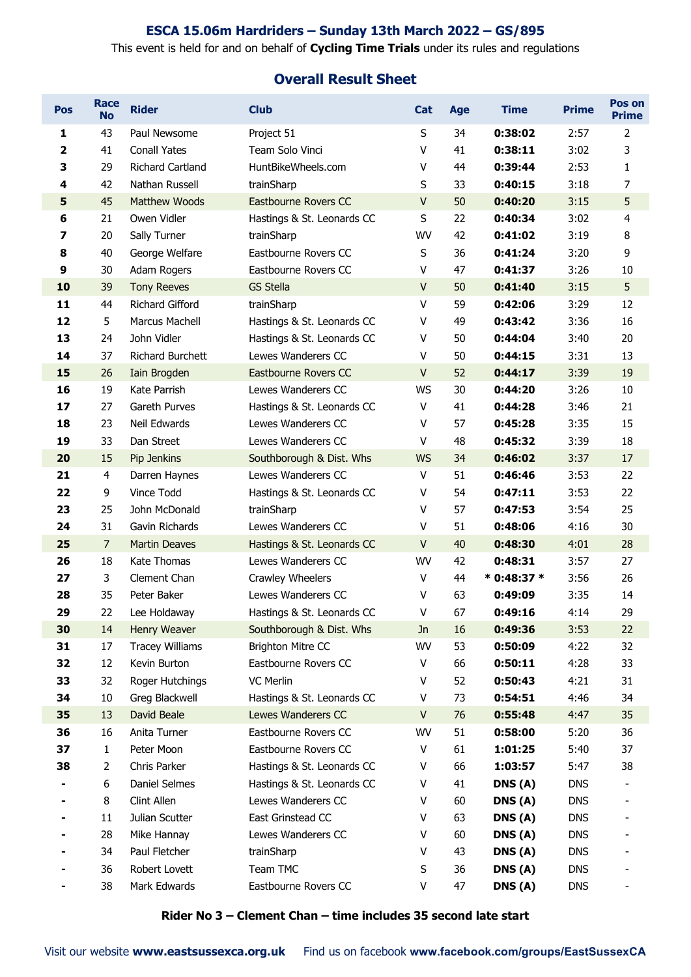#### ESCA 15.06m Hardriders – Sunday 13th March 2022 – GS/895

#### This event is held for and on behalf of Cycling Time Trials under its rules and regulations

#### Overall Result Sheet

| <b>Pos</b>              | <b>Race</b><br><b>No</b> | <b>Rider</b>                 | <b>Club</b>                             | <b>Cat</b>  | Age      | <b>Time</b>      | <b>Prime</b>             | Pos on<br><b>Prime</b>  |
|-------------------------|--------------------------|------------------------------|-----------------------------------------|-------------|----------|------------------|--------------------------|-------------------------|
| 1                       | 43                       | Paul Newsome                 | Project 51                              | S           | 34       | 0:38:02          | 2:57                     | $\overline{2}$          |
| $\overline{\mathbf{2}}$ | 41                       | <b>Conall Yates</b>          | Team Solo Vinci                         | V           | 41       | 0:38:11          | 3:02                     | 3                       |
| 3                       | 29                       | <b>Richard Cartland</b>      | HuntBikeWheels.com                      | v           | 44       | 0:39:44          | 2:53                     | 1                       |
| 4                       | 42                       | Nathan Russell               | trainSharp                              | S           | 33       | 0:40:15          | 3:18                     | $\overline{7}$          |
| 5                       | 45                       | <b>Matthew Woods</b>         | Eastbourne Rovers CC                    | $\mathsf V$ | 50       | 0:40:20          | 3:15                     | 5                       |
| 6                       | 21                       | Owen Vidler                  | Hastings & St. Leonards CC              | S           | 22       | 0:40:34          | 3:02                     | $\overline{\mathbf{4}}$ |
| 7                       | 20                       | Sally Turner                 | trainSharp                              | WV          | 42       | 0:41:02          | 3:19                     | 8                       |
| 8                       | 40                       | George Welfare               | Eastbourne Rovers CC                    | $\sf S$     | 36       | 0:41:24          | 3:20                     | 9                       |
| 9                       | 30                       | Adam Rogers                  | Eastbourne Rovers CC                    | V           | 47       | 0:41:37          | 3:26                     | 10                      |
| 10                      | 39                       | <b>Tony Reeves</b>           | <b>GS Stella</b>                        | $\vee$      | 50       | 0:41:40          | 3:15                     | 5                       |
| 11                      | 44                       | <b>Richard Gifford</b>       | trainSharp                              | v           | 59       | 0:42:06          | 3:29                     | 12                      |
| 12                      | 5                        | Marcus Machell               | Hastings & St. Leonards CC              | v           | 49       | 0:43:42          | 3:36                     | 16                      |
| 13                      | 24                       | John Vidler                  | Hastings & St. Leonards CC              | v           | 50       | 0:44:04          | 3:40                     | 20                      |
| 14                      | 37                       | <b>Richard Burchett</b>      | Lewes Wanderers CC                      | V           | 50       | 0:44:15          | 3:31                     | 13                      |
| 15                      | 26                       | Iain Brogden                 | Eastbourne Rovers CC                    | $\sf V$     | 52       | 0:44:17          | 3:39                     | 19                      |
| 16                      | 19                       | Kate Parrish                 | Lewes Wanderers CC                      | <b>WS</b>   | 30       | 0:44:20          | 3:26                     | 10                      |
| 17                      | 27                       | Gareth Purves                | Hastings & St. Leonards CC              | V           | 41       | 0:44:28          | 3:46                     | 21                      |
| 18                      | 23                       | Neil Edwards                 | Lewes Wanderers CC                      | V           | 57       | 0:45:28          | 3:35                     | 15                      |
| 19                      | 33                       | Dan Street                   | Lewes Wanderers CC                      | V           | 48       | 0:45:32          | 3:39                     | 18                      |
| 20                      | 15                       | Pip Jenkins                  | Southborough & Dist. Whs                | <b>WS</b>   | 34       | 0:46:02          | 3:37                     | 17                      |
| 21                      | 4                        | Darren Haynes                | Lewes Wanderers CC                      | V           | 51       | 0:46:46          | 3:53                     | 22                      |
| 22                      | 9                        | Vince Todd                   | Hastings & St. Leonards CC              | V           | 54       | 0:47:11          | 3:53                     | 22                      |
| 23                      | 25                       | John McDonald                | trainSharp                              | v           | 57       | 0:47:53          | 3:54                     | 25                      |
| 24                      | 31                       | Gavin Richards               | Lewes Wanderers CC                      | V           | 51       | 0:48:06          | 4:16                     | 30                      |
| 25                      | $\overline{7}$           | <b>Martin Deaves</b>         | Hastings & St. Leonards CC              | V           | 40       | 0:48:30          | 4:01                     | 28                      |
| 26                      | 18                       | Kate Thomas                  | Lewes Wanderers CC                      | WV          | 42       | 0:48:31          | 3:57                     | 27                      |
| 27                      | 3                        | Clement Chan                 | Crawley Wheelers                        | V           | 44       | $*$ 0:48:37 $*$  | 3:56                     | 26                      |
| 28                      | 35                       | Peter Baker                  | Lewes Wanderers CC                      | V           | 63       | 0:49:09          | 3:35                     | 14                      |
| 29                      | 22                       | Lee Holdaway                 | Hastings & St. Leonards CC              | V           | 67       | 0:49:16          | 4:14                     | 29                      |
| 30                      | 14                       | Henry Weaver                 | Southborough & Dist. Whs                | <b>Jn</b>   | 16       | 0:49:36          | 3:53                     | 22                      |
| 31                      | 17                       | <b>Tracey Williams</b>       | <b>Brighton Mitre CC</b>                | WV          | 53       | 0:50:09          | 4:22                     | 32                      |
| 32                      | 12                       | Kevin Burton                 | Eastbourne Rovers CC                    | V           | 66       | 0:50:11          | 4:28                     | 33                      |
| 33                      | 32                       | Roger Hutchings              | VC Merlin                               | v           | 52       | 0:50:43          | 4:21                     | 31                      |
| 34                      | 10                       | Greg Blackwell               | Hastings & St. Leonards CC              | ٧           | 73       | 0:54:51          | 4:46                     | 34                      |
| 35                      | 13                       | David Beale                  | Lewes Wanderers CC                      | V           | 76       | 0:55:48          | 4:47                     | 35                      |
| 36                      | 16                       | Anita Turner                 | Eastbourne Rovers CC                    | WV          | 51       | 0:58:00          | 5:20                     | 36                      |
| 37                      | $\mathbf{1}$             | Peter Moon                   | Eastbourne Rovers CC                    | V           | 61       | 1:01:25          | 5:40                     | 37                      |
| 38                      | $\overline{2}$           | Chris Parker                 | Hastings & St. Leonards CC              | V           | 66       | 1:03:57          | 5:47                     | 38                      |
|                         | 6                        | Daniel Selmes                | Hastings & St. Leonards CC              | ٧           | 41       | DNS(A)           | <b>DNS</b>               |                         |
|                         | 8                        | Clint Allen                  | Lewes Wanderers CC                      | V           | 60       | DNS(A)           | <b>DNS</b>               |                         |
|                         | 11                       | Julian Scutter               | East Grinstead CC<br>Lewes Wanderers CC | V<br>V      | 63       | DNS(A)           | <b>DNS</b>               |                         |
|                         | 28<br>34                 | Mike Hannay<br>Paul Fletcher |                                         | V           | 60<br>43 | DNS(A)<br>DNS(A) | <b>DNS</b><br><b>DNS</b> |                         |
|                         |                          | Robert Lovett                | trainSharp<br>Team TMC                  |             |          |                  | <b>DNS</b>               |                         |
|                         | 36                       |                              |                                         | S           | 36       | DNS(A)           |                          |                         |
|                         | 38                       | Mark Edwards                 | Eastbourne Rovers CC                    | V           | 47       | DNS(A)           | <b>DNS</b>               |                         |

Rider No 3 – Clement Chan – time includes 35 second late start